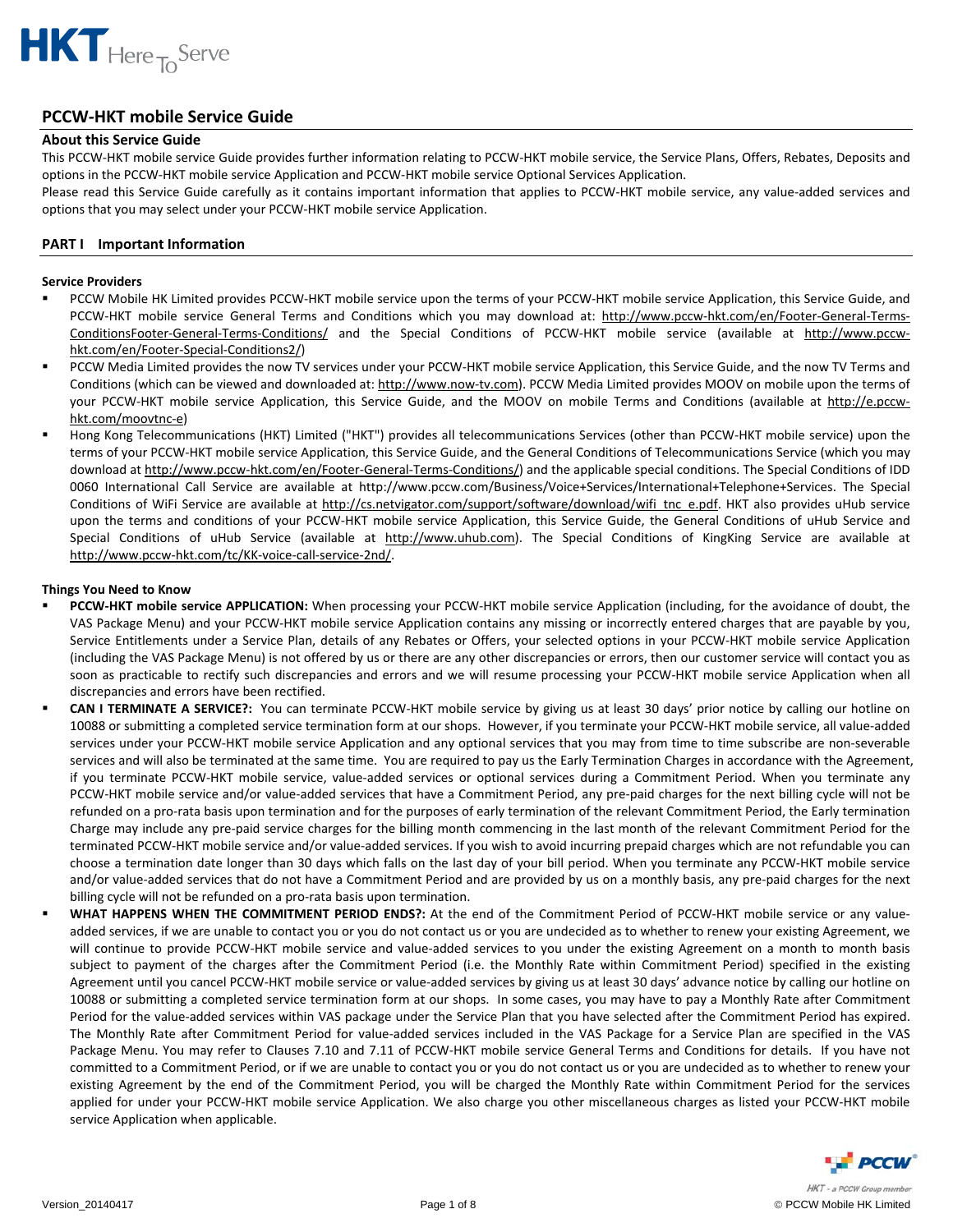

## **PCCW‐HKT mobile Service Guide**

## **About this Service Guide**

This PCCW‐HKT mobile service Guide provides further information relating to PCCW‐HKT mobile service, the Service Plans, Offers, Rebates, Deposits and options in the PCCW‐HKT mobile service Application and PCCW‐HKT mobile service Optional Services Application.

Please read this Service Guide carefully as it contains important information that applies to PCCW-HKT mobile service, any value-added services and options that you may select under your PCCW‐HKT mobile service Application.

## **PART I Important Information**

## **Service Providers**

- PCCW Mobile HK Limited provides PCCW‐HKT mobile service upon the terms of your PCCW‐HKT mobile service Application, this Service Guide, and PCCW-HKT mobile service General Terms and Conditions which you may download at: http://www.pccw-hkt.com/en/Footer-General-Terms-ConditionsFooter‐General‐Terms‐Conditions/ and the Special Conditions of PCCW‐HKT mobile service (available at http://www.pccw‐ hkt.com/en/Footer‐Special‐Conditions2/)
- PCCW Media Limited provides the now TV services under your PCCW‐HKT mobile service Application, this Service Guide, and the now TV Terms and Conditions (which can be viewed and downloaded at: http://www.now-tv.com). PCCW Media Limited provides MOOV on mobile upon the terms of your PCCW-HKT mobile service Application, this Service Guide, and the MOOV on mobile Terms and Conditions (available at http://e.pccwhkt.com/moovtnc‐e)
- Hong Kong Telecommunications (HKT) Limited ("HKT") provides all telecommunications Services (other than PCCW-HKT mobile service) upon the terms of your PCCW‐HKT mobile service Application, this Service Guide, and the General Conditions of Telecommunications Service (which you may download at http://www.pccw-hkt.com/en/Footer-General-Terms-Conditions/) and the applicable special conditions. The Special Conditions of IDD 0060 International Call Service are available at http://www.pccw.com/Business/Voice+Services/International+Telephone+Services. The Special Conditions of WiFi Service are available at http://cs.netvigator.com/support/software/download/wifi\_tnc\_e.pdf. HKT also provides uHub service upon the terms and conditions of your PCCW-HKT mobile service Application, this Service Guide, the General Conditions of uHub Service and Special Conditions of uHub Service (available at http://www.uhub.com). The Special Conditions of KingKing Service are available at http://www.pccw‐hkt.com/tc/KK‐voice‐call‐service‐2nd/.

## **Things You Need to Know**

- **PCCW‐HKT mobile service APPLICATION:** When processing your PCCW‐HKT mobile service Application (including, for the avoidance of doubt, the VAS Package Menu) and your PCCW‐HKT mobile service Application contains any missing or incorrectly entered charges that are payable by you, Service Entitlements under a Service Plan, details of any Rebates or Offers, your selected options in your PCCW‐HKT mobile service Application (including the VAS Package Menu) is not offered by us or there are any other discrepancies or errors, then our customer service will contact you as soon as practicable to rectify such discrepancies and errors and we will resume processing your PCCW-HKT mobile service Application when all discrepancies and errors have been rectified.
- **CAN I TERMINATE A SERVICE?:** You can terminate PCCW‐HKT mobile service by giving us at least 30 days' prior notice by calling our hotline on 10088 or submitting a completed service termination form at our shops. However, if you terminate your PCCW‐HKT mobile service, all value‐added services under your PCCW‐HKT mobile service Application and any optional services that you may from time to time subscribe are non‐severable services and will also be terminated at the same time. You are required to pay us the Early Termination Charges in accordance with the Agreement, if you terminate PCCW‐HKT mobile service, value‐added services or optional services during a Commitment Period. When you terminate any PCCW-HKT mobile service and/or value-added services that have a Commitment Period, any pre-paid charges for the next billing cycle will not be refunded on a pro‐rata basis upon termination and for the purposes of early termination of the relevant Commitment Period, the Early termination Charge may include any pre‐paid service charges for the billing month commencing in the last month of the relevant Commitment Period for the terminated PCCW‐HKT mobile service and/or value‐added services. If you wish to avoid incurring prepaid charges which are not refundable you can choose a termination date longer than 30 days which falls on the last day of your bill period. When you terminate any PCCW‐HKT mobile service and/or value-added services that do not have a Commitment Period and are provided by us on a monthly basis, any pre-paid charges for the next billing cycle will not be refunded on a pro-rata basis upon termination.
- **WHAT HAPPENS WHEN THE COMMITMENT PERIOD ENDS?:** At the end of the Commitment Period of PCCW‐HKT mobile service or any value‐ added services, if we are unable to contact you or you do not contact us or you are undecided as to whether to renew your existing Agreement, we will continue to provide PCCW-HKT mobile service and value-added services to you under the existing Agreement on a month to month basis subject to payment of the charges after the Commitment Period (i.e. the Monthly Rate within Commitment Period) specified in the existing Agreement until you cancel PCCW‐HKT mobile service or value‐added services by giving us at least 30 days' advance notice by calling our hotline on 10088 or submitting a completed service termination form at our shops. In some cases, you may have to pay a Monthly Rate after Commitment Period for the value-added services within VAS package under the Service Plan that you have selected after the Commitment Period has expired. The Monthly Rate after Commitment Period for value‐added services included in the VAS Package for a Service Plan are specified in the VAS Package Menu. You may refer to Clauses 7.10 and 7.11 of PCCW‐HKT mobile service General Terms and Conditions for details. If you have not committed to a Commitment Period, or if we are unable to contact you or you do not contact us or you are undecided as to whether to renew your existing Agreement by the end of the Commitment Period, you will be charged the Monthly Rate within Commitment Period for the services applied for under your PCCW‐HKT mobile service Application. We also charge you other miscellaneous charges as listed your PCCW‐HKT mobile service Application when applicable.

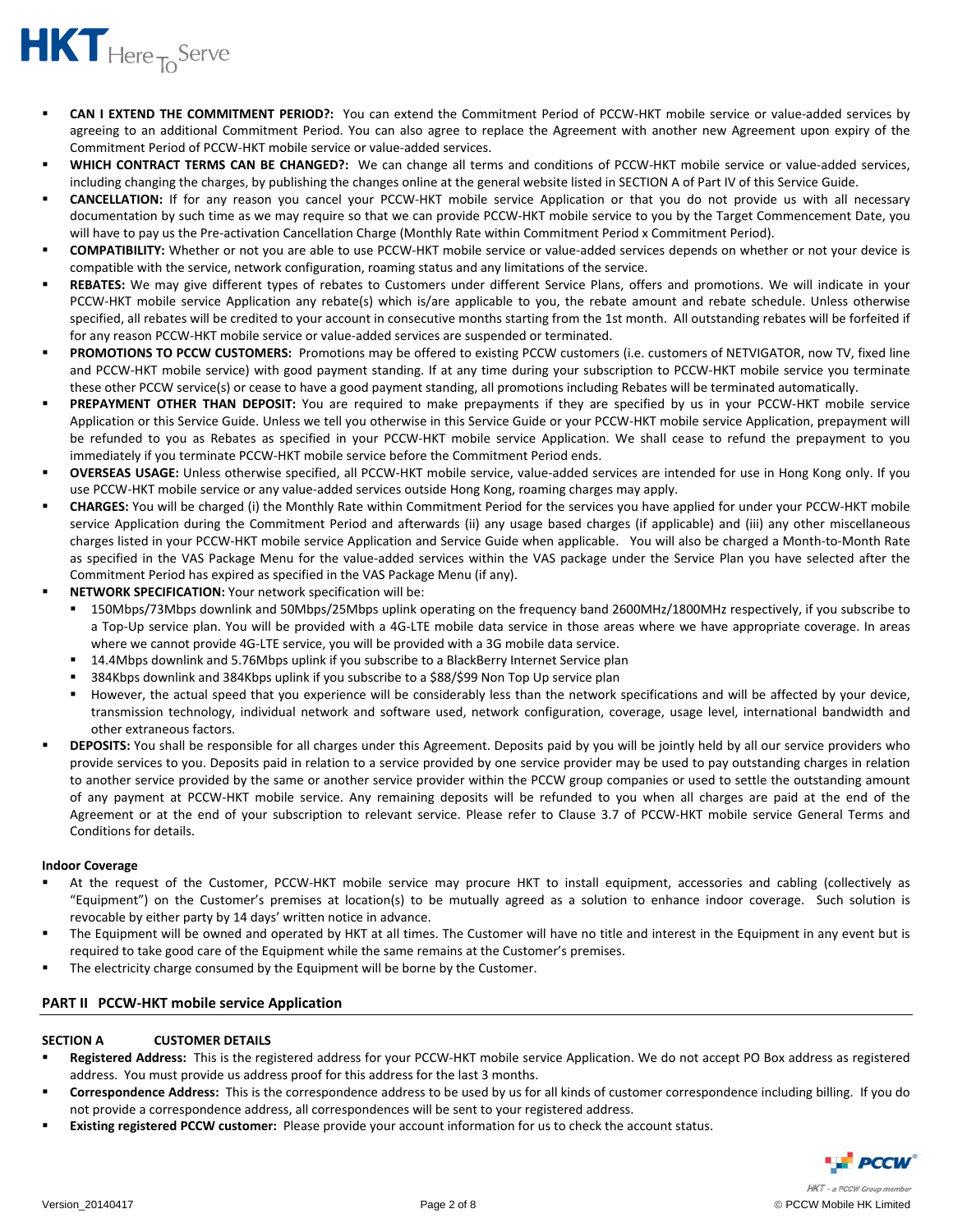

- **CAN I EXTEND THE COMMITMENT PERIOD?:** You can extend the Commitment Period of PCCW‐HKT mobile service or value‐added services by agreeing to an additional Commitment Period. You can also agree to replace the Agreement with another new Agreement upon expiry of the Commitment Period of PCCW‐HKT mobile service or value‐added services.
- **WHICH CONTRACT TERMS CAN BE CHANGED?:** We can change all terms and conditions of PCCW‐HKT mobile service or value‐added services, including changing the charges, by publishing the changes online at the general website listed in SECTION A of Part IV of this Service Guide.
- **CANCELLATION:** If for any reason you cancel your PCCW‐HKT mobile service Application or that you do not provide us with all necessary documentation by such time as we may require so that we can provide PCCW‐HKT mobile service to you by the Target Commencement Date, you will have to pay us the Pre-activation Cancellation Charge (Monthly Rate within Commitment Period x Commitment Period).
- **COMPATIBILITY:** Whether or not you are able to use PCCW‐HKT mobile service or value‐added services depends on whether or not your device is compatible with the service, network configuration, roaming status and any limitations of the service.
- **REBATES:** We may give different types of rebates to Customers under different Service Plans, offers and promotions. We will indicate in your PCCW-HKT mobile service Application any rebate(s) which is/are applicable to you, the rebate amount and rebate schedule. Unless otherwise specified, all rebates will be credited to your account in consecutive months starting from the 1st month. All outstanding rebates will be forfeited if for any reason PCCW‐HKT mobile service or value‐added services are suspended or terminated.
- **PROMOTIONS TO PCCW CUSTOMERS:** Promotions may be offered to existing PCCW customers (i.e. customers of NETVIGATOR, now TV, fixed line and PCCW‐HKT mobile service) with good payment standing. If at any time during your subscription to PCCW‐HKT mobile service you terminate these other PCCW service(s) or cease to have a good payment standing, all promotions including Rebates will be terminated automatically.
- **PREPAYMENT OTHER THAN DEPOSIT:** You are required to make prepayments if they are specified by us in your PCCW‐HKT mobile service Application or this Service Guide. Unless we tell you otherwise in this Service Guide or your PCCW‐HKT mobile service Application, prepayment will be refunded to you as Rebates as specified in your PCCW‐HKT mobile service Application. We shall cease to refund the prepayment to you immediately if you terminate PCCW‐HKT mobile service before the Commitment Period ends.
- **OVERSEAS USAGE:** Unless otherwise specified, all PCCW‐HKT mobile service, value‐added services are intended for use in Hong Kong only. If you use PCCW‐HKT mobile service or any value‐added services outside Hong Kong, roaming charges may apply.
- **CHARGES:** You will be charged (i) the Monthly Rate within Commitment Period for the services you have applied for under your PCCW‐HKT mobile service Application during the Commitment Period and afterwards (ii) any usage based charges (if applicable) and (iii) any other miscellaneous charges listed in your PCCW‐HKT mobile service Application and Service Guide when applicable. You will also be charged a Month‐to‐Month Rate as specified in the VAS Package Menu for the value‐added services within the VAS package under the Service Plan you have selected after the Commitment Period has expired as specified in the VAS Package Menu (if any).
- **NETWORK SPECIFICATION:** Your network specification will be:
	- 150Mbps/73Mbps downlink and 50Mbps/25Mbps uplink operating on the frequency band 2600MHz/1800MHz respectively, if you subscribe to a Top-Up service plan. You will be provided with a 4G-LTE mobile data service in those areas where we have appropriate coverage. In areas where we cannot provide 4G‐LTE service, you will be provided with a 3G mobile data service.
	- 14.4Mbps downlink and 5.76Mbps uplink if you subscribe to a BlackBerry Internet Service plan
	- 384Kbps downlink and 384Kbps uplink if you subscribe to a \$88/\$99 Non Top Up service plan
	- However, the actual speed that you experience will be considerably less than the network specifications and will be affected by your device, transmission technology, individual network and software used, network configuration, coverage, usage level, international bandwidth and other extraneous factors.
- **DEPOSITS:** You shall be responsible for all charges under this Agreement. Deposits paid by you will be jointly held by all our service providers who provide services to you. Deposits paid in relation to a service provided by one service provider may be used to pay outstanding charges in relation to another service provided by the same or another service provider within the PCCW group companies or used to settle the outstanding amount of any payment at PCCW‐HKT mobile service. Any remaining deposits will be refunded to you when all charges are paid at the end of the Agreement or at the end of your subscription to relevant service. Please refer to Clause 3.7 of PCCW-HKT mobile service General Terms and Conditions for details.

## **Indoor Coverage**

- At the request of the Customer, PCCW‐HKT mobile service may procure HKT to install equipment, accessories and cabling (collectively as "Equipment") on the Customer's premises at location(s) to be mutually agreed as a solution to enhance indoor coverage. Such solution is revocable by either party by 14 days' written notice in advance.
- The Equipment will be owned and operated by HKT at all times. The Customer will have no title and interest in the Equipment in any event but is required to take good care of the Equipment while the same remains at the Customer's premises.
- The electricity charge consumed by the Equipment will be borne by the Customer.

## **PART II PCCW‐HKT mobile service Application**

## **SECTION A CUSTOMER DETAILS**

- **Registered Address:** This is the registered address for your PCCW‐HKT mobile service Application. We do not accept PO Box address as registered address. You must provide us address proof for this address for the last 3 months.
- **Correspondence Address:** This is the correspondence address to be used by us for all kinds of customer correspondence including billing. If you do not provide a correspondence address, all correspondences will be sent to your registered address.
- **Existing registered PCCW customer:** Please provide your account information for us to check the account status.

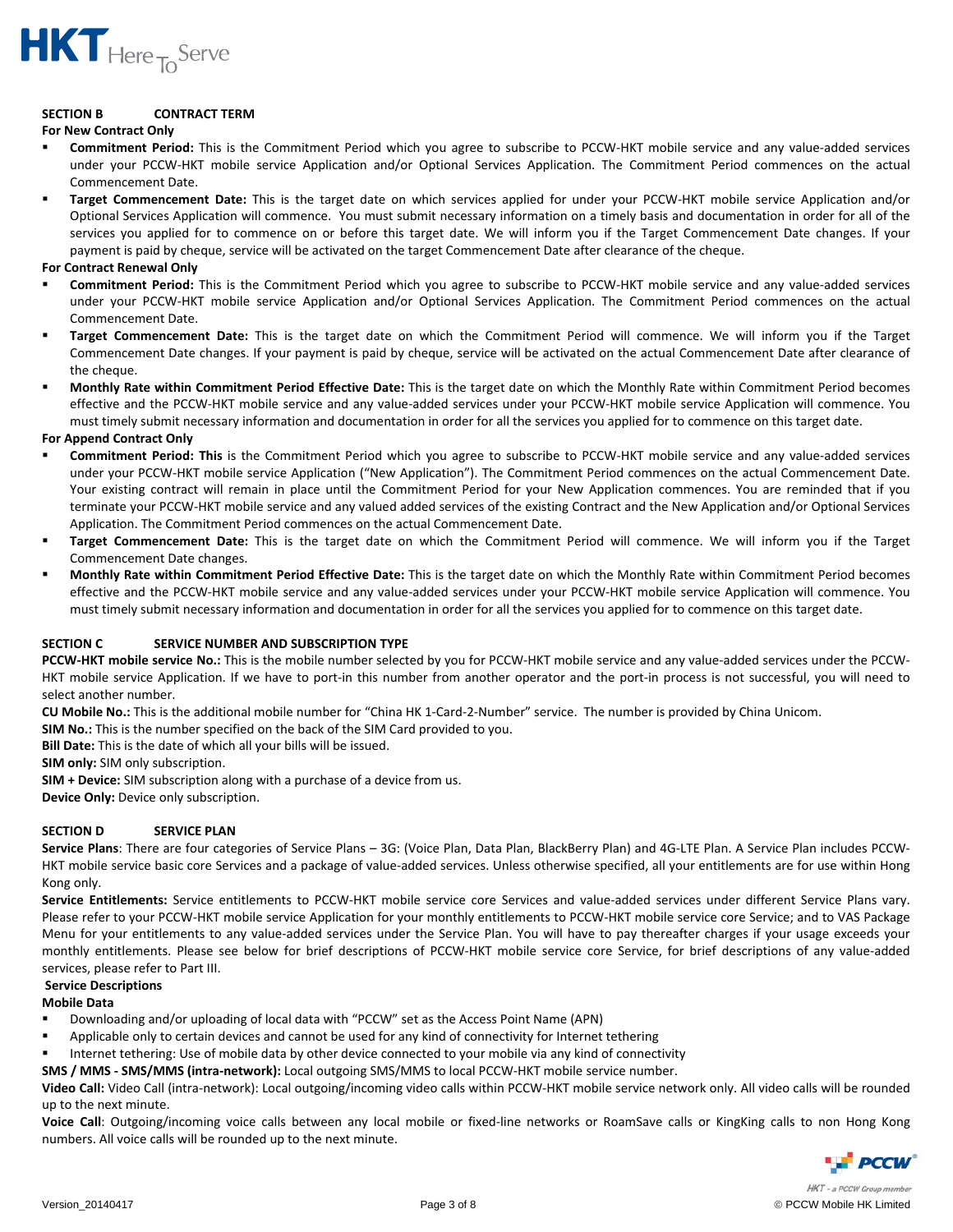

## **SECTION B CONTRACT TERM**

#### **For New Contract Only**

- **Commitment Period:** This is the Commitment Period which you agree to subscribe to PCCW‐HKT mobile service and any value‐added services under your PCCW‐HKT mobile service Application and/or Optional Services Application. The Commitment Period commences on the actual Commencement Date.
- **Target Commencement Date:** This is the target date on which services applied for under your PCCW‐HKT mobile service Application and/or Optional Services Application will commence. You must submit necessary information on a timely basis and documentation in order for all of the services you applied for to commence on or before this target date. We will inform you if the Target Commencement Date changes. If your payment is paid by cheque, service will be activated on the target Commencement Date after clearance of the cheque.

#### **For Contract Renewal Only**

- **Commitment Period:** This is the Commitment Period which you agree to subscribe to PCCW‐HKT mobile service and any value‐added services under your PCCW-HKT mobile service Application and/or Optional Services Application. The Commitment Period commences on the actual Commencement Date.
- **Target Commencement Date:** This is the target date on which the Commitment Period will commence. We will inform you if the Target Commencement Date changes. If your payment is paid by cheque, service will be activated on the actual Commencement Date after clearance of the cheque.
- **Monthly Rate within Commitment Period Effective Date:** This is the target date on which the Monthly Rate within Commitment Period becomes effective and the PCCW‐HKT mobile service and any value‐added services under your PCCW‐HKT mobile service Application will commence. You must timely submit necessary information and documentation in order for all the services you applied for to commence on this target date.

## **For Append Contract Only**

- **Commitment Period: This** is the Commitment Period which you agree to subscribe to PCCW‐HKT mobile service and any value‐added services under your PCCW‐HKT mobile service Application ("New Application"). The Commitment Period commences on the actual Commencement Date. Your existing contract will remain in place until the Commitment Period for your New Application commences. You are reminded that if you terminate your PCCW‐HKT mobile service and any valued added services of the existing Contract and the New Application and/or Optional Services Application. The Commitment Period commences on the actual Commencement Date.
- **Target Commencement Date:** This is the target date on which the Commitment Period will commence. We will inform you if the Target Commencement Date changes.
- **Monthly Rate within Commitment Period Effective Date:** This is the target date on which the Monthly Rate within Commitment Period becomes effective and the PCCW‐HKT mobile service and any value‐added services under your PCCW‐HKT mobile service Application will commence. You must timely submit necessary information and documentation in order for all the services you applied for to commence on this target date.

## **SECTION C SERVICE NUMBER AND SUBSCRIPTION TYPE**

**PCCW‐HKT mobile service No.:** This is the mobile number selected by you for PCCW‐HKT mobile service and any value‐added services under the PCCW‐ HKT mobile service Application. If we have to port-in this number from another operator and the port-in process is not successful, you will need to select another number.

**CU Mobile No.:** This is the additional mobile number for "China HK 1‐Card‐2‐Number" service. The number is provided by China Unicom.

**SIM No.:** This is the number specified on the back of the SIM Card provided to you.

**Bill Date:** This is the date of which all your bills will be issued.

**SIM only:** SIM only subscription.

**SIM + Device:** SIM subscription along with a purchase of a device from us.

**Device Only:** Device only subscription.

## **SECTION D SERVICE PLAN**

**Service Plans**: There are four categories of Service Plans – 3G: (Voice Plan, Data Plan, BlackBerry Plan) and 4G‐LTE Plan. A Service Plan includes PCCW‐ HKT mobile service basic core Services and a package of value-added services. Unless otherwise specified, all your entitlements are for use within Hong Kong only.

Service Entitlements: Service entitlements to PCCW-HKT mobile service core Services and value-added services under different Service Plans vary. Please refer to your PCCW‐HKT mobile service Application for your monthly entitlements to PCCW‐HKT mobile service core Service; and to VAS Package Menu for your entitlements to any value‐added services under the Service Plan. You will have to pay thereafter charges if your usage exceeds your monthly entitlements. Please see below for brief descriptions of PCCW‐HKT mobile service core Service, for brief descriptions of any value‐added services, please refer to Part III.

## **Service Descriptions**

## **Mobile Data**

- Downloading and/or uploading of local data with "PCCW" set as the Access Point Name (APN)
- Applicable only to certain devices and cannot be used for any kind of connectivity for Internet tethering
- Internet tethering: Use of mobile data by other device connected to your mobile via any kind of connectivity
- **SMS / MMS ‐ SMS/MMS (intra‐network):** Local outgoing SMS/MMS to local PCCW‐HKT mobile service number.

**Video Call:** Video Call (intra‐network): Local outgoing/incoming video calls within PCCW‐HKT mobile service network only. All video calls will be rounded up to the next minute.

Voice Call: Outgoing/incoming voice calls between any local mobile or fixed-line networks or RoamSave calls or KingKing calls to non Hong Kong numbers. All voice calls will be rounded up to the next minute.

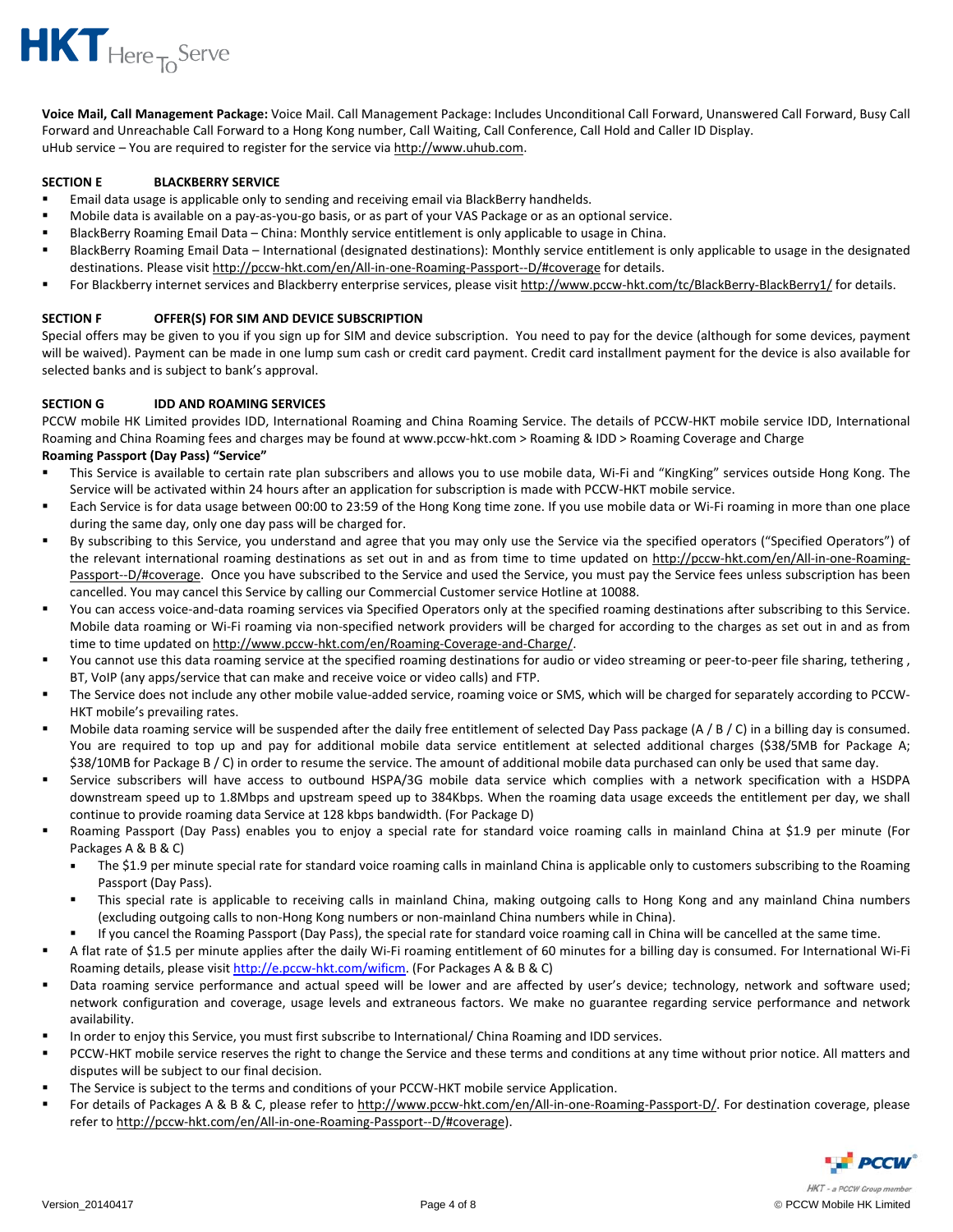

**Voice Mail, Call Management Package:** Voice Mail. Call Management Package: Includes Unconditional Call Forward, Unanswered Call Forward, Busy Call Forward and Unreachable Call Forward to a Hong Kong number, Call Waiting, Call Conference, Call Hold and Caller ID Display. uHub service – You are required to register for the service via http://www.uhub.com.

## **SECTION E BLACKBERRY SERVICE**

- Email data usage is applicable only to sending and receiving email via BlackBerry handhelds.
- Mobile data is available on a pay‐as‐you‐go basis, or as part of your VAS Package or as an optional service.
- BlackBerry Roaming Email Data China: Monthly service entitlement is only applicable to usage in China.
- BlackBerry Roaming Email Data International (designated destinations): Monthly service entitlement is only applicable to usage in the designated destinations. Please visit http://pccw‐hkt.com/en/All‐in‐one‐Roaming‐Passport‐‐D/#coverage for details.
- For Blackberry internet services and Blackberry enterprise services, please visit http://www.pccw-hkt.com/tc/BlackBerry-BlackBerry1/ for details.

## **SECTION F OFFER(S) FOR SIM AND DEVICE SUBSCRIPTION**

Special offers may be given to you if you sign up for SIM and device subscription. You need to pay for the device (although for some devices, payment will be waived). Payment can be made in one lump sum cash or credit card payment. Credit card installment payment for the device is also available for selected banks and is subject to bank's approval.

## **SECTION G IDD AND ROAMING SERVICES**

PCCW mobile HK Limited provides IDD, International Roaming and China Roaming Service. The details of PCCW-HKT mobile service IDD, International Roaming and China Roaming fees and charges may be found at www.pccw‐hkt.com > Roaming & IDD > Roaming Coverage and Charge **Roaming Passport (Day Pass) "Service"** 

- This Service is available to certain rate plan subscribers and allows you to use mobile data, Wi‐Fi and "KingKing" services outside Hong Kong. The Service will be activated within 24 hours after an application for subscription is made with PCCW‐HKT mobile service.
- Each Service is for data usage between 00:00 to 23:59 of the Hong Kong time zone. If you use mobile data or Wi‐Fi roaming in more than one place during the same day, only one day pass will be charged for.
- By subscribing to this Service, you understand and agree that you may only use the Service via the specified operators ("Specified Operators") of the relevant international roaming destinations as set out in and as from time to time updated on http://pccw-hkt.com/en/All-in-one-Roaming-Passport--D/#coverage. Once you have subscribed to the Service and used the Service, you must pay the Service fees unless subscription has been cancelled. You may cancel this Service by calling our Commercial Customer service Hotline at 10088.
- You can access voice-and-data roaming services via Specified Operators only at the specified roaming destinations after subscribing to this Service. Mobile data roaming or Wi‐Fi roaming via non‐specified network providers will be charged for according to the charges as set out in and as from time to time updated on http://www.pccw‐hkt.com/en/Roaming‐Coverage‐and‐Charge/.
- You cannot use this data roaming service at the specified roaming destinations for audio or video streaming or peer-to-peer file sharing, tethering, BT, VoIP (any apps/service that can make and receive voice or video calls) and FTP.
- The Service does not include any other mobile value-added service, roaming voice or SMS, which will be charged for separately according to PCCW-HKT mobile's prevailing rates.
- Mobile data roaming service will be suspended after the daily free entitlement of selected Day Pass package (A / B / C) in a billing day is consumed. You are required to top up and pay for additional mobile data service entitlement at selected additional charges (\$38/5MB for Package A; \$38/10MB for Package B / C) in order to resume the service. The amount of additional mobile data purchased can only be used that same day.
- Service subscribers will have access to outbound HSPA/3G mobile data service which complies with a network specification with a HSDPA downstream speed up to 1.8Mbps and upstream speed up to 384Kbps. When the roaming data usage exceeds the entitlement per day, we shall continue to provide roaming data Service at 128 kbps bandwidth. (For Package D)
- Roaming Passport (Day Pass) enables you to enjoy a special rate for standard voice roaming calls in mainland China at \$1.9 per minute (For Packages A & B & C)
	- The \$1.9 per minute special rate for standard voice roaming calls in mainland China is applicable only to customers subscribing to the Roaming Passport (Day Pass).
	- " This special rate is applicable to receiving calls in mainland China, making outgoing calls to Hong Kong and any mainland China numbers (excluding outgoing calls to non‐Hong Kong numbers or non‐mainland China numbers while in China).
	- If you cancel the Roaming Passport (Day Pass), the special rate for standard voice roaming call in China will be cancelled at the same time.
- A flat rate of \$1.5 per minute applies after the daily Wi‐Fi roaming entitlement of 60 minutes for a billing day is consumed. For International Wi‐Fi Roaming details, please visit http://e.pccw-hkt.com/wificm. (For Packages A & B & C)
- Data roaming service performance and actual speed will be lower and are affected by user's device; technology, network and software used; network configuration and coverage, usage levels and extraneous factors. We make no guarantee regarding service performance and network availability.
- In order to enjoy this Service, you must first subscribe to International/ China Roaming and IDD services.
- PCCW-HKT mobile service reserves the right to change the Service and these terms and conditions at any time without prior notice. All matters and disputes will be subject to our final decision.
- The Service is subject to the terms and conditions of your PCCW-HKT mobile service Application.
- For details of Packages A & B & C, please refer to http://www.pccw-hkt.com/en/All-in-one-Roaming-Passport-D/. For destination coverage, please refer to http://pccw-hkt.com/en/All-in-one-Roaming-Passport--D/#coverage).

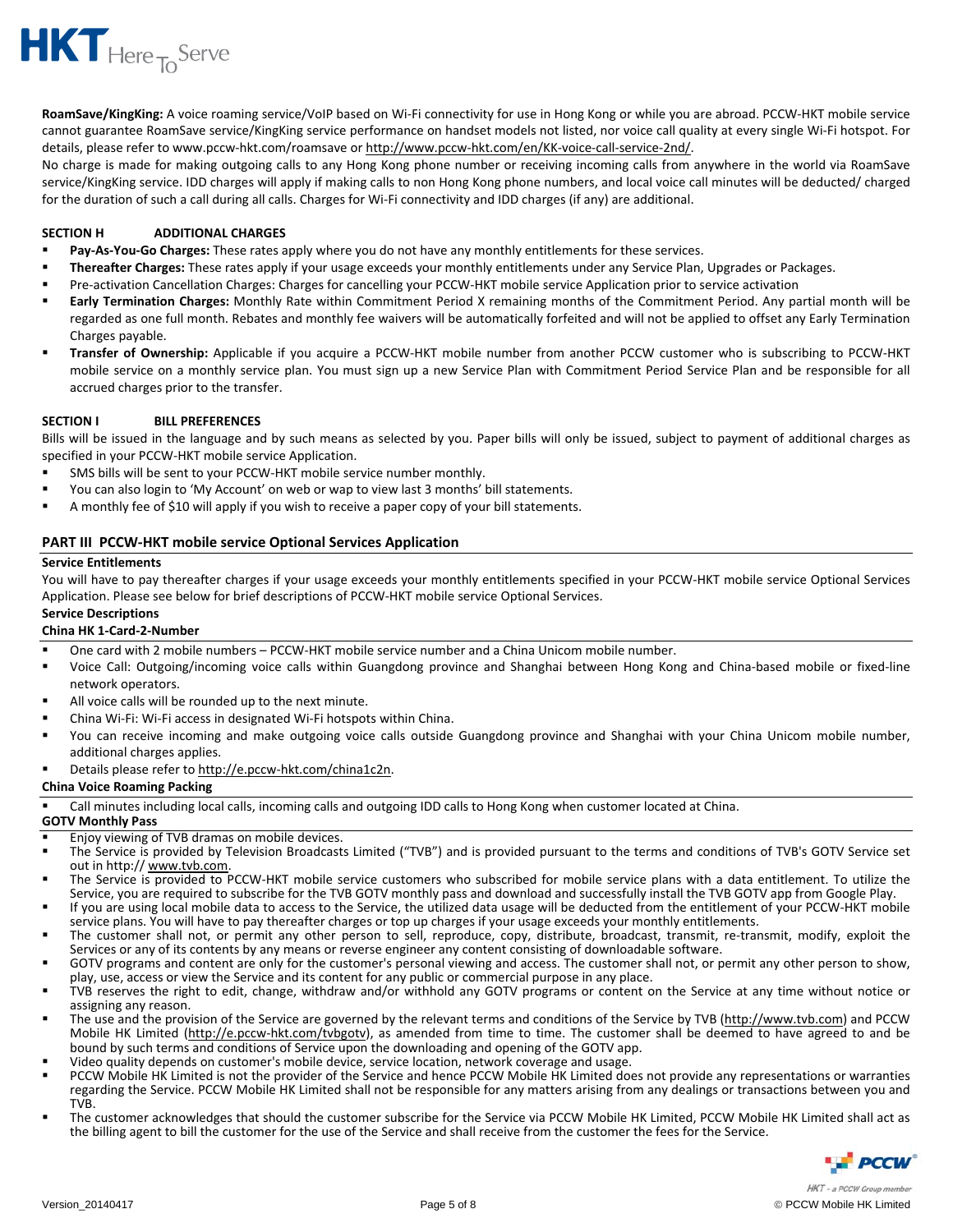

**RoamSave/KingKing:** A voice roaming service/VoIP based on Wi‐Fi connectivity for use in Hong Kong or while you are abroad. PCCW‐HKT mobile service cannot guarantee RoamSave service/KingKing service performance on handset models not listed, nor voice call quality at every single Wi‐Fi hotspot. For details, please refer to www.pccw‐hkt.com/roamsave or http://www.pccw‐hkt.com/en/KK‐voice‐call‐service‐2nd/.

No charge is made for making outgoing calls to any Hong Kong phone number or receiving incoming calls from anywhere in the world via RoamSave service/KingKing service. IDD charges will apply if making calls to non Hong Kong phone numbers, and local voice call minutes will be deducted/ charged for the duration of such a call during all calls. Charges for Wi‐Fi connectivity and IDD charges (if any) are additional.

## **SECTION H ADDITIONAL CHARGES**

- **Pay‐As‐You‐Go Charges:** These rates apply where you do not have any monthly entitlements for these services.
- **Thereafter Charges:** These rates apply if your usage exceeds your monthly entitlements under any Service Plan, Upgrades or Packages.
- Pre-activation Cancellation Charges: Charges for cancelling your PCCW-HKT mobile service Application prior to service activation
- **Early Termination Charges:** Monthly Rate within Commitment Period X remaining months of the Commitment Period. Any partial month will be regarded as one full month. Rebates and monthly fee waivers will be automatically forfeited and will not be applied to offset any Early Termination Charges payable.
- **Transfer of Ownership:** Applicable if you acquire a PCCW‐HKT mobile number from another PCCW customer who is subscribing to PCCW‐HKT mobile service on a monthly service plan. You must sign up a new Service Plan with Commitment Period Service Plan and be responsible for all accrued charges prior to the transfer.

## **SECTION I BILL PREFERENCES**

Bills will be issued in the language and by such means as selected by you. Paper bills will only be issued, subject to payment of additional charges as specified in your PCCW-HKT mobile service Application.

- SMS bills will be sent to your PCCW‐HKT mobile service number monthly.
- You can also login to 'My Account' on web or wap to view last 3 months' bill statements.
- A monthly fee of \$10 will apply if you wish to receive a paper copy of your bill statements.

## **PART III PCCW‐HKT mobile service Optional Services Application**

## **Service Entitlements**

You will have to pay thereafter charges if your usage exceeds your monthly entitlements specified in your PCCW-HKT mobile service Optional Services Application. Please see below for brief descriptions of PCCW‐HKT mobile service Optional Services.

# **Service Descriptions**

- **China HK 1‐Card‐2‐Number**
- One card with 2 mobile numbers PCCW‐HKT mobile service number and a China Unicom mobile number.
- Voice Call: Outgoing/incoming voice calls within Guangdong province and Shanghai between Hong Kong and China‐based mobile or fixed‐line network operators.
- All voice calls will be rounded up to the next minute.
- China Wi‐Fi: Wi‐Fi access in designated Wi‐Fi hotspots within China.
- You can receive incoming and make outgoing voice calls outside Guangdong province and Shanghai with your China Unicom mobile number, additional charges applies.
- Details please refer to http://e.pccw-hkt.com/china1c2n.

## **China Voice Roaming Packing**

Call minutes including local calls, incoming calls and outgoing IDD calls to Hong Kong when customer located at China.

## **GOTV Monthly Pass**

- Enjoy viewing of TVB dramas on mobile devices.
- The Service is provided by Television Broadcasts Limited ("TVB") and is provided pursuant to the terms and conditions of TVB's GOTV Service set out in http:// www.tvb.com.
- The Service is provided to PCCW-HKT mobile service customers who subscribed for mobile service plans with a data entitlement. To utilize the Service, you are required to subscribe for the TVB GOTV monthly pass and download and successfully install the TVB GOTV app from Google Play.
- If you are using local mobile data to access to the Service, the utilized data usage will be deducted from the entitlement of your PCCW‐HKT mobile service plans. You will have to pay thereafter charges or top up charges if your usage exceeds your monthly entitlements.
- The customer shall not, or permit any other person to sell, reproduce, copy, distribute, broadcast, transmit, re-transmit, modify, exploit the Services or any of its contents by any means or reverse engineer any content consisting of downloadable software.
- GOTV programs and content are only for the customer's personal viewing and access. The customer shall not, or permit any other person to show, play, use, access or view the Service and its content for any public or commercial purpose in any place.
- TVB reserves the right to edit, change, withdraw and/or withhold any GOTV programs or content on the Service at any time without notice or assigning any reason.
- The use and the provision of the Service are governed by the relevant terms and conditions of the Service by TVB (http://www.tvb.com) and PCCW Mobile HK Limited (http://e.pccw-hkt.com/tvbgotv), as amended from time to time. The customer shall be deemed to have agreed to and be bound by such terms and conditions of Service upon the downloading and opening of the GOTV app.
- Video quality depends on customer's mobile device, service location, network coverage and usage.
- PCCW Mobile HK Limited is not the provider of the Service and hence PCCW Mobile HK Limited does not provide any representations or warranties regarding the Service. PCCW Mobile HK Limited shall not be responsible for any matters arising from any dealings or transactions between you and TVB.
- The customer acknowledges that should the customer subscribe for the Service via PCCW Mobile HK Limited, PCCW Mobile HK Limited shall act as the billing agent to bill the customer for the use of the Service and shall receive from the customer the fees for the Service.

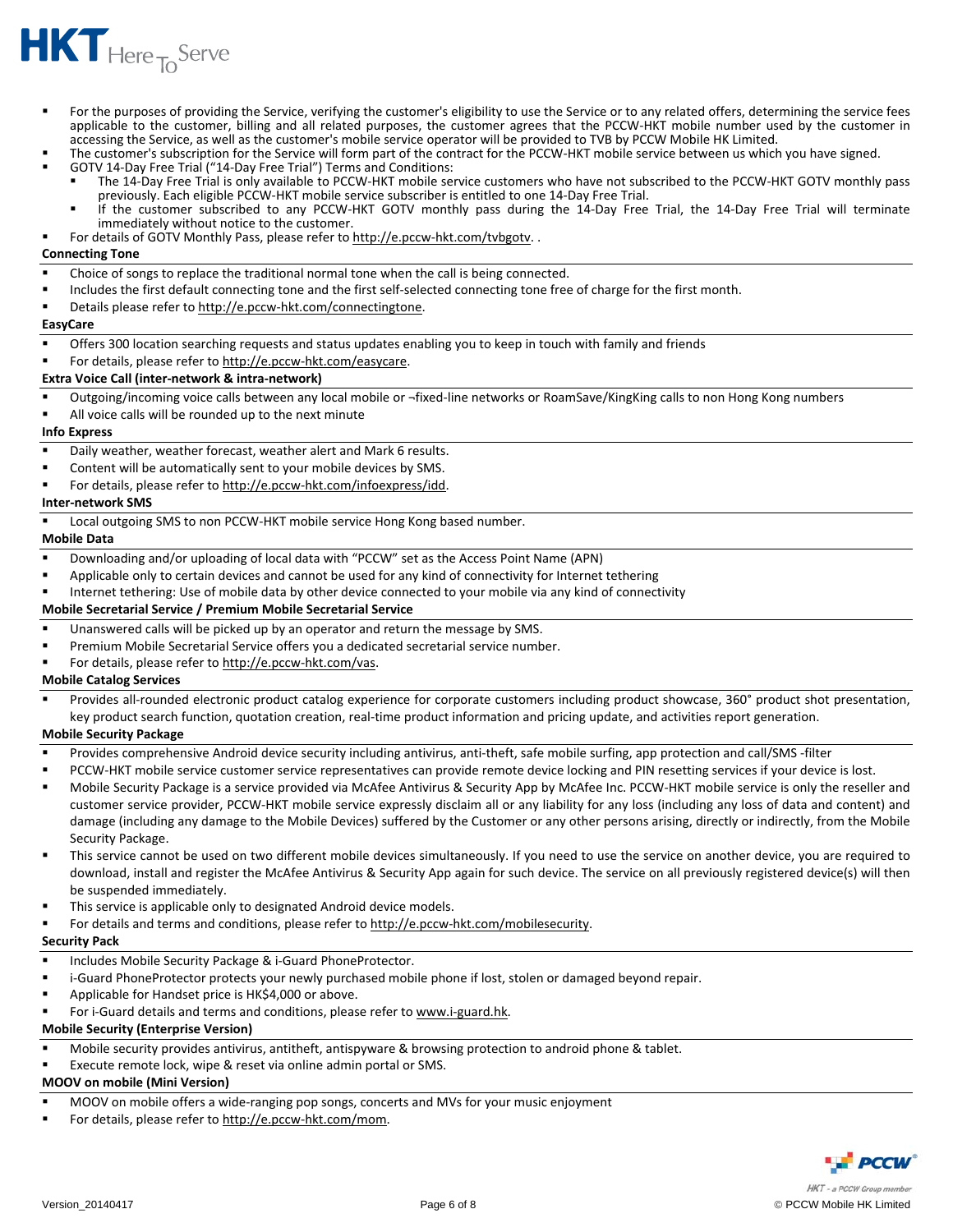

- For the purposes of providing the Service, verifying the customer's eligibility to use the Service or to any related offers, determining the service fees applicable to the customer, billing and all related purposes, the customer agrees that the PCCW-HKT mobile number used by the customer in accessing the Service, as well as the customer's mobile service operator will be provided to TVB by PCCW Mobile HK Limited.
- The customer's subscription for the Service will form part of the contract for the PCCW‐HKT mobile service between us which you have signed.
- GOTV 14‐Day Free Trial ("14‐Day Free Trial") Terms and Conditions:
	- The 14‐Day Free Trial is only available to PCCW‐HKT mobile service customers who have not subscribed to the PCCW‐HKT GOTV monthly pass previously. Each eligible PCCW‐HKT mobile service subscriber is entitled to one 14‐Day Free Trial.
	- If the customer subscribed to any PCCW‐HKT GOTV monthly pass during the 14‐Day Free Trial, the 14‐Day Free Trial will terminate immediately without notice to the customer.
- For details of GOTV Monthly Pass, please refer to http://e.pccw-hkt.com/tvbgotv..

#### **Connecting Tone**

- Choice of songs to replace the traditional normal tone when the call is being connected.
- Includes the first default connecting tone and the first self‐selected connecting tone free of charge for the first month.
- Details please refer to http://e.pccw-hkt.com/connectingtone.

#### **EasyCare**

- Offers 300 location searching requests and status updates enabling you to keep in touch with family and friends
- For details, please refer to http://e.pccw-hkt.com/easycare.

## **Extra Voice Call (inter‐network & intra‐network)**

- Outgoing/incoming voice calls between any local mobile or ¬fixed-line networks or RoamSave/KingKing calls to non Hong Kong numbers
- All voice calls will be rounded up to the next minute

#### **Info Express**

- Daily weather, weather forecast, weather alert and Mark 6 results.
- Content will be automatically sent to your mobile devices by SMS.
- For details, please refer to http://e.pccw‐hkt.com/infoexpress/idd.

## **Inter‐network SMS**

■ Local outgoing SMS to non PCCW-HKT mobile service Hong Kong based number.

#### **Mobile Data**

- Downloading and/or uploading of local data with "PCCW" set as the Access Point Name (APN)
- Applicable only to certain devices and cannot be used for any kind of connectivity for Internet tethering
- Internet tethering: Use of mobile data by other device connected to your mobile via any kind of connectivity

## **Mobile Secretarial Service / Premium Mobile Secretarial Service**

- Unanswered calls will be picked up by an operator and return the message by SMS.
- Premium Mobile Secretarial Service offers you a dedicated secretarial service number.
- For details, please refer to http://e.pccw-hkt.com/vas.

## **Mobile Catalog Services**

Provides all-rounded electronic product catalog experience for corporate customers including product showcase, 360° product shot presentation, key product search function, quotation creation, real‐time product information and pricing update, and activities report generation.

## **Mobile Security Package**

- Provides comprehensive Android device security including antivirus, anti‐theft, safe mobile surfing, app protection and call/SMS ‐filter
- PCCW-HKT mobile service customer service representatives can provide remote device locking and PIN resetting services if your device is lost.
- Mobile Security Package is a service provided via McAfee Antivirus & Security App by McAfee Inc. PCCW‐HKT mobile service is only the reseller and customer service provider, PCCW‐HKT mobile service expressly disclaim all or any liability for any loss (including any loss of data and content) and damage (including any damage to the Mobile Devices) suffered by the Customer or any other persons arising, directly or indirectly, from the Mobile Security Package.
- This service cannot be used on two different mobile devices simultaneously. If you need to use the service on another device, you are required to download, install and register the McAfee Antivirus & Security App again for such device. The service on all previously registered device(s) will then be suspended immediately.
- This service is applicable only to designated Android device models.
- For details and terms and conditions, please refer to http://e.pccw-hkt.com/mobilesecurity.

## **Security Pack**

- Includes Mobile Security Package & i‐Guard PhoneProtector.
- i-Guard PhoneProtector protects your newly purchased mobile phone if lost, stolen or damaged beyond repair.
- Applicable for Handset price is HK\$4,000 or above.
- For i-Guard details and terms and conditions, please refer to www.i-guard.hk.

## **Mobile Security (Enterprise Version)**

- Mobile security provides antivirus, antitheft, antispyware & browsing protection to android phone & tablet.
- Execute remote lock, wipe & reset via online admin portal or SMS.

## **MOOV on mobile (Mini Version)**

- MOOV on mobile offers a wide‐ranging pop songs, concerts and MVs for your music enjoyment
- For details, please refer to http://e.pccw-hkt.com/mom.

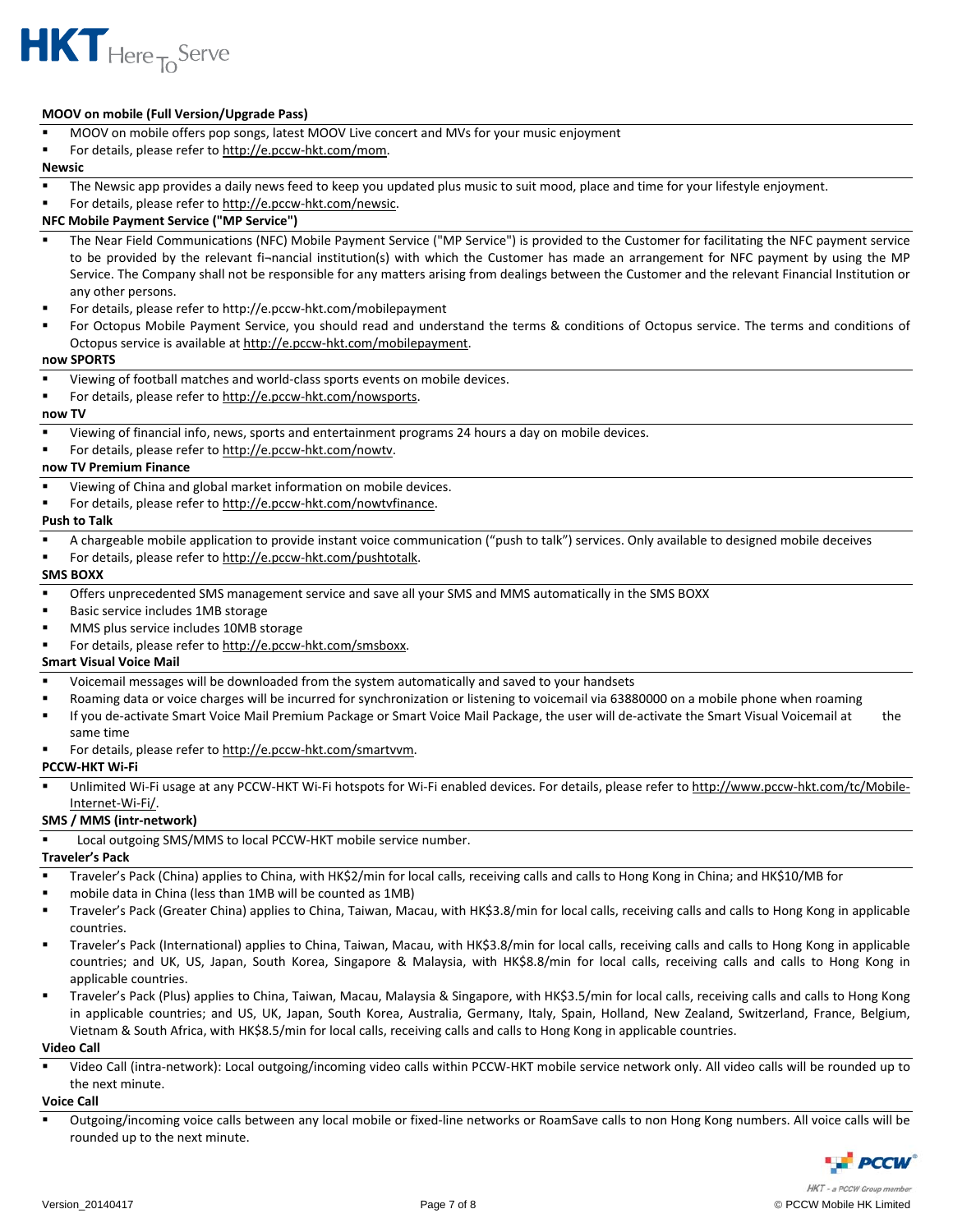

## **MOOV on mobile (Full Version/Upgrade Pass)**

- MOOV on mobile offers pop songs, latest MOOV Live concert and MVs for your music enjoyment
- For details, please refer to http://e.pccw-hkt.com/mom.

#### **Newsic**

- The Newsic app provides a daily news feed to keep you updated plus music to suit mood, place and time for your lifestyle enjoyment.
- For details, please refer to http://e.pccw-hkt.com/newsic.

## **NFC Mobile Payment Service ("MP Service")**

- The Near Field Communications (NFC) Mobile Payment Service ("MP Service") is provided to the Customer for facilitating the NFC payment service to be provided by the relevant fi¬nancial institution(s) with which the Customer has made an arrangement for NFC payment by using the MP Service. The Company shall not be responsible for any matters arising from dealings between the Customer and the relevant Financial Institution or any other persons.
- For details, please refer to http://e.pccw‐hkt.com/mobilepayment
- For Octopus Mobile Payment Service, you should read and understand the terms & conditions of Octopus service. The terms and conditions of Octopus service is available at http://e.pccw-hkt.com/mobilepayment.

#### **now SPORTS**

- Viewing of football matches and world‐class sports events on mobile devices.
- For details, please refer to http://e.pccw-hkt.com/nowsports.

#### **now TV**

- Viewing of financial info, news, sports and entertainment programs 24 hours a day on mobile devices.
- For details, please refer to http://e.pccw-hkt.com/nowtv.

#### **now TV Premium Finance**

- Viewing of China and global market information on mobile devices.
- For details, please refer to http://e.pccw-hkt.com/nowtvfinance.

## **Push to Talk**

- A chargeable mobile application to provide instant voice communication ("push to talk") services. Only available to designed mobile deceives
- For details, please refer to http://e.pccw-hkt.com/pushtotalk.

#### **SMS BOXX**

- Offers unprecedented SMS management service and save all your SMS and MMS automatically in the SMS BOXX
- Basic service includes 1MB storage
- MMS plus service includes 10MB storage
- For details, please refer to http://e.pccw-hkt.com/smsboxx.

## **Smart Visual Voice Mail**

- Voicemail messages will be downloaded from the system automatically and saved to your handsets
- Roaming data or voice charges will be incurred for synchronization or listening to voicemail via 63880000 on a mobile phone when roaming
- If you de-activate Smart Voice Mail Premium Package or Smart Voice Mail Package, the user will de-activate the Smart Visual Voicemail at the same time
- For details, please refer to http://e.pccw-hkt.com/smartvvm.

#### **PCCW‐HKT Wi‐Fi**

Unlimited Wi-Fi usage at any PCCW-HKT Wi-Fi hotspots for Wi-Fi enabled devices. For details, please refer to http://www.pccw-hkt.com/tc/Mobile Internet‐Wi‐Fi/.

## **SMS / MMS (intr‐network)**

Local outgoing SMS/MMS to local PCCW‐HKT mobile service number.

# **Traveler's Pack**

- Traveler's Pack (China) applies to China, with HK\$2/min for local calls, receiving calls and calls to Hong Kong in China; and HK\$10/MB for
- mobile data in China (less than 1MB will be counted as 1MB)
- Traveler's Pack (Greater China) applies to China, Taiwan, Macau, with HK\$3.8/min for local calls, receiving calls and calls to Hong Kong in applicable countries.
- Traveler's Pack (International) applies to China, Taiwan, Macau, with HK\$3.8/min for local calls, receiving calls and calls to Hong Kong in applicable countries; and UK, US, Japan, South Korea, Singapore & Malaysia, with HK\$8.8/min for local calls, receiving calls and calls to Hong Kong in applicable countries.
- Traveler's Pack (Plus) applies to China, Taiwan, Macau, Malaysia & Singapore, with HK\$3.5/min for local calls, receiving calls and calls to Hong Kong in applicable countries; and US, UK, Japan, South Korea, Australia, Germany, Italy, Spain, Holland, New Zealand, Switzerland, France, Belgium, Vietnam & South Africa, with HK\$8.5/min for local calls, receiving calls and calls to Hong Kong in applicable countries.

#### **Video Call**

 Video Call (intra‐network): Local outgoing/incoming video calls within PCCW‐HKT mobile service network only. All video calls will be rounded up to the next minute.

#### **Voice Call**

■ Outgoing/incoming voice calls between any local mobile or fixed-line networks or RoamSave calls to non Hong Kong numbers. All voice calls will be rounded up to the next minute.